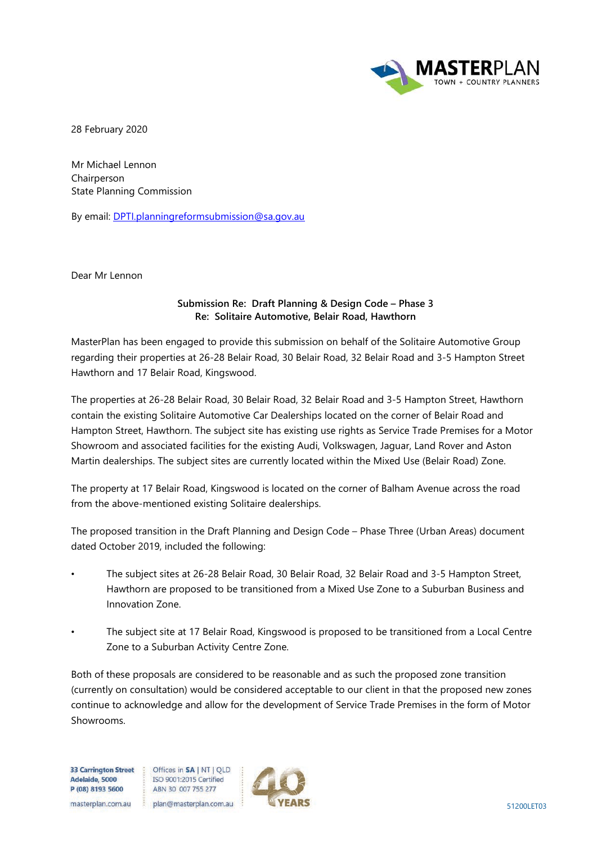

28 February 2020

Mr Michael Lennon Chairperson State Planning Commission

By email: [DPTI.planningreformsubmission@sa.gov.au](mailto:DPTI.planningreformsubmission@sa.gov.au) 

Dear Mr Lennon

## **Submission Re: Draft Planning & Design Code – Phase 3 Re: Solitaire Automotive, Belair Road, Hawthorn**

MasterPlan has been engaged to provide this submission on behalf of the Solitaire Automotive Group regarding their properties at 26-28 Belair Road, 30 Belair Road, 32 Belair Road and 3-5 Hampton Street Hawthorn and 17 Belair Road, Kingswood.

The properties at 26-28 Belair Road, 30 Belair Road, 32 Belair Road and 3-5 Hampton Street, Hawthorn contain the existing Solitaire Automotive Car Dealerships located on the corner of Belair Road and Hampton Street, Hawthorn. The subject site has existing use rights as Service Trade Premises for a Motor Showroom and associated facilities for the existing Audi, Volkswagen, Jaguar, Land Rover and Aston Martin dealerships. The subject sites are currently located within the Mixed Use (Belair Road) Zone.

The property at 17 Belair Road, Kingswood is located on the corner of Balham Avenue across the road from the above-mentioned existing Solitaire dealerships.

The proposed transition in the Draft Planning and Design Code – Phase Three (Urban Areas) document dated October 2019, included the following:

- The subject sites at 26-28 Belair Road, 30 Belair Road, 32 Belair Road and 3-5 Hampton Street, Hawthorn are proposed to be transitioned from a Mixed Use Zone to a Suburban Business and Innovation Zone.
- The subject site at 17 Belair Road, Kingswood is proposed to be transitioned from a Local Centre Zone to a Suburban Activity Centre Zone.

Both of these proposals are considered to be reasonable and as such the proposed zone transition (currently on consultation) would be considered acceptable to our client in that the proposed new zones continue to acknowledge and allow for the development of Service Trade Premises in the form of Motor Showrooms.

**33 Carrington Street** Adelaide, 5000 P (08) 8193 5600

Offices in SA | NT | QLD ISO 9001:2015 Certified ABN 30 007 755 277

: plan@masterplan.com.au masterplan.com.au

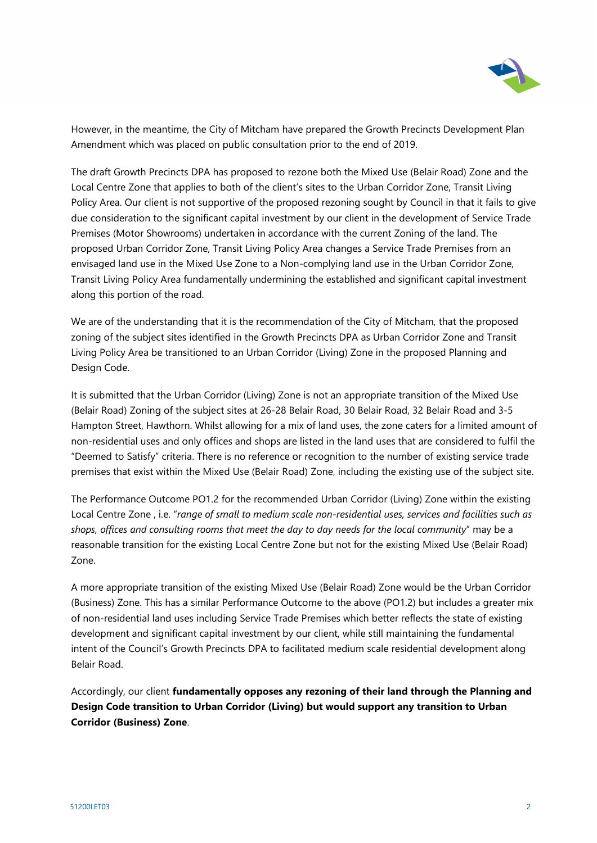

However, in the meantime, the City of Mitcham have prepared the Growth Precincts Development Plan Amendment which was placed on public consultation prior to the end of 2019.

The draft Growth Precincts DPA has proposed to rezone both the Mixed Use (Belair Road) Zone and the Local Centre Zone that applies to both of the client's sites to the Urban Corridor Zone, Transit Living Policy Area. Our client is not supportive of the proposed rezoning sought by Council in that it fails to give due consideration to the significant capital investment by our client in the development of Service Trade Premises (Motor Showrooms) undertaken in accordance with the current Zoning of the land. The proposed Urban Corridor Zone, Transit Living Policy Area changes a Service Trade Premises from an envisaged land use in the Mixed Use Zone to a Non-complying land use in the Urban Corridor Zone, Transit Living Policy Area fundamentally undermining the established and significant capital investment along this portion of the road.

We are of the understanding that it is the recommendation of the City of Mitcham, that the proposed zoning of the subject sites identified in the Growth Precincts DPA as Urban Corridor Zone and Transit Living Policy Area be transitioned to an Urban Corridor (Living) Zone in the proposed Planning and Design Code.

It is submitted that the Urban Corridor (Living) Zone is not an appropriate transition of the Mixed Use (Belair Road) Zoning of the subject sites at 26-28 Belair Road, 30 Belair Road, 32 Belair Road and 3-5 Hampton Street, Hawthorn. Whilst allowing for a mix of land uses, the zone caters for a limited amount of non-residential uses and only offices and shops are listed in the land uses that are considered to fulfil the "Deemed to Satisfy" criteria. There is no reference or recognition to the number of existing service trade premises that exist within the Mixed Use (Belair Road) Zone, including the existing use of the subject site.

The Performance Outcome PO1.2 for the recommended Urban Corridor (Living) Zone within the existing Local Centre Zone , i.e. "*range of small to medium scale non-residential uses, services and facilities such as shops, offices and consulting rooms that meet the day to day needs for the local community*" may be a reasonable transition for the existing Local Centre Zone but not for the existing Mixed Use (Belair Road) Zone.

A more appropriate transition of the existing Mixed Use (Belair Road) Zone would be the Urban Corridor (Business) Zone. This has a similar Performance Outcome to the above (PO1.2) but includes a greater mix of non-residential land uses including Service Trade Premises which better reflects the state of existing development and significant capital investment by our client, while still maintaining the fundamental intent of the Council's Growth Precincts DPA to facilitated medium scale residential development along Belair Road.

Accordingly, our client **fundamentally opposes any rezoning of their land through the Planning and Design Code transition to Urban Corridor (Living) but would support any transition to Urban Corridor (Business) Zone**.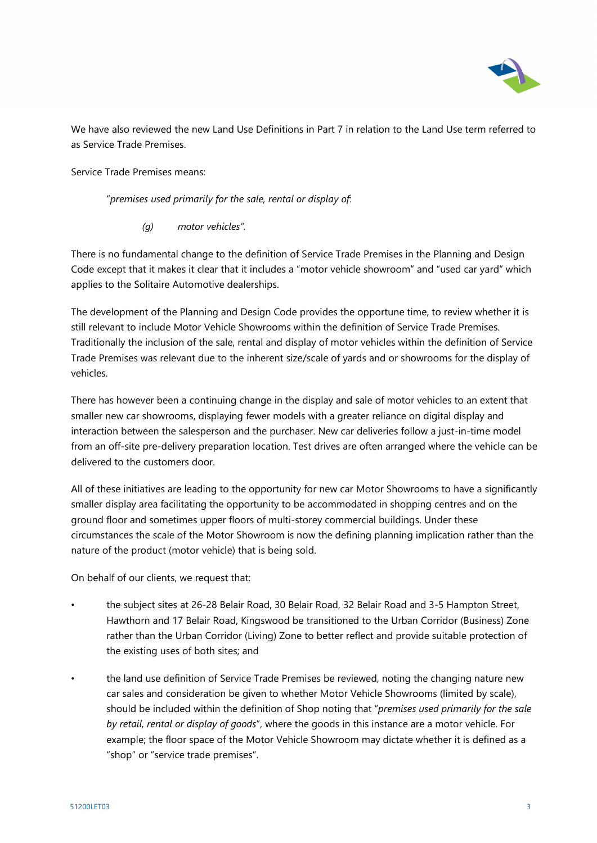

We have also reviewed the new Land Use Definitions in Part 7 in relation to the Land Use term referred to as Service Trade Premises.

Service Trade Premises means:

"*premises used primarily for the sale, rental or display of*:

*(g) motor vehicles".* 

There is no fundamental change to the definition of Service Trade Premises in the Planning and Design Code except that it makes it clear that it includes a "motor vehicle showroom" and "used car yard" which applies to the Solitaire Automotive dealerships.

The development of the Planning and Design Code provides the opportune time, to review whether it is still relevant to include Motor Vehicle Showrooms within the definition of Service Trade Premises. Traditionally the inclusion of the sale, rental and display of motor vehicles within the definition of Service Trade Premises was relevant due to the inherent size/scale of yards and or showrooms for the display of vehicles.

There has however been a continuing change in the display and sale of motor vehicles to an extent that smaller new car showrooms, displaying fewer models with a greater reliance on digital display and interaction between the salesperson and the purchaser. New car deliveries follow a just-in-time model from an off-site pre-delivery preparation location. Test drives are often arranged where the vehicle can be delivered to the customers door.

All of these initiatives are leading to the opportunity for new car Motor Showrooms to have a significantly smaller display area facilitating the opportunity to be accommodated in shopping centres and on the ground floor and sometimes upper floors of multi-storey commercial buildings. Under these circumstances the scale of the Motor Showroom is now the defining planning implication rather than the nature of the product (motor vehicle) that is being sold.

On behalf of our clients, we request that:

- the subject sites at 26-28 Belair Road, 30 Belair Road, 32 Belair Road and 3-5 Hampton Street, Hawthorn and 17 Belair Road, Kingswood be transitioned to the Urban Corridor (Business) Zone rather than the Urban Corridor (Living) Zone to better reflect and provide suitable protection of the existing uses of both sites; and
- the land use definition of Service Trade Premises be reviewed, noting the changing nature new car sales and consideration be given to whether Motor Vehicle Showrooms (limited by scale), should be included within the definition of Shop noting that "*premises used primarily for the sale by retail, rental or display of goods*", where the goods in this instance are a motor vehicle. For example; the floor space of the Motor Vehicle Showroom may dictate whether it is defined as a "shop" or "service trade premises".